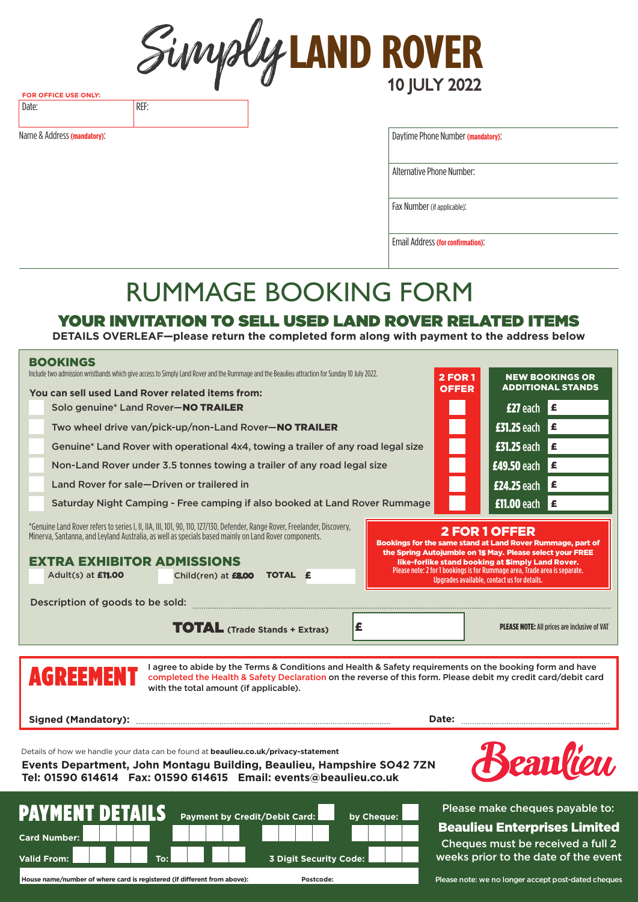**LAND ROVER** 10 JULY 2022

**FOR OFFICE USE ONLY:** Date: REF:

Name & Address **(mandatory)**:

Daytime Phone Number **(mandatory)**:

Alternative Phone Number:

Fax Number (if applicable):

Email Address **(for confirmation)**:

# RUMMAGE BOOKING FORM

### YOUR INVITATION TO SELL USED LAND ROVER RELATED ITEMS

**DETAILS OVERLEAF—please return the completed form along with payment to the address below**

| <b>BOOKINGS</b>                                                                                                                                                                                                                                                                         |                                |                                                                                                                                                                               |
|-----------------------------------------------------------------------------------------------------------------------------------------------------------------------------------------------------------------------------------------------------------------------------------------|--------------------------------|-------------------------------------------------------------------------------------------------------------------------------------------------------------------------------|
| Include two admission wristbands which give access to Simply Land Rover and the Rummage and the Beaulieu attraction for Sunday 10 July 2022.                                                                                                                                            | <b>2 FOR 1</b><br><b>OFFER</b> | <b>NEW BOOKINGS OR</b><br><b>ADDITIONAL STANDS</b>                                                                                                                            |
| You can sell used Land Rover related items from:<br>Solo genuine* Land Rover-NO TRAILER                                                                                                                                                                                                 |                                | <b>£27</b> each $\epsilon$                                                                                                                                                    |
| Two wheel drive van/pick-up/non-Land Rover-NO TRAILER                                                                                                                                                                                                                                   |                                | £31.25 each $\epsilon$                                                                                                                                                        |
| Genuine* Land Rover with operational 4x4, towing a trailer of any road legal size                                                                                                                                                                                                       |                                | £31.25 each $\epsilon$                                                                                                                                                        |
| Non-Land Rover under 3.5 tonnes towing a trailer of any road legal size                                                                                                                                                                                                                 |                                | £49.50 each<br>l £                                                                                                                                                            |
| Land Rover for sale-Driven or trailered in                                                                                                                                                                                                                                              |                                | ١£<br>£24.25 each                                                                                                                                                             |
| Saturday Night Camping - Free camping if also booked at Land Rover Rummage                                                                                                                                                                                                              |                                | £11.00 each $\epsilon$                                                                                                                                                        |
|                                                                                                                                                                                                                                                                                         |                                |                                                                                                                                                                               |
| *Genuine Land Rover refers to series I, II, IIA, III, 101, 90, 110, 127/130, Defender, Range Rover, Freelander, Discovery,<br>Minerva, Santanna, and Leyland Australia, as well as specials based mainly on Land Rover components.                                                      |                                | 2 FOR 1 OFFER                                                                                                                                                                 |
| <b>EXTRA EXHIBITOR ADMISSIONS</b>                                                                                                                                                                                                                                                       |                                | Bookings for the same stand at Land Rover Rummage, part of<br>the Spring Autojumble on 15 May. Please select your FREE                                                        |
| <b>TOTAL £</b><br>Adult(s) at <b>£11.00</b><br>Child(ren) at £8.00                                                                                                                                                                                                                      |                                | like-forlike stand booking at Simply Land Rover.<br>Please note: 2 for 1 bookings is for Rummage area, Trade area is separate.<br>Upgrades available, contact us for details. |
|                                                                                                                                                                                                                                                                                         |                                |                                                                                                                                                                               |
| Description of goods to be sold:                                                                                                                                                                                                                                                        |                                |                                                                                                                                                                               |
|                                                                                                                                                                                                                                                                                         |                                |                                                                                                                                                                               |
| £<br><b>TOTAL</b> (Trade Stands + Extras)                                                                                                                                                                                                                                               |                                | <b>PLEASE NOTE:</b> All prices are inclusive of VAT                                                                                                                           |
|                                                                                                                                                                                                                                                                                         |                                |                                                                                                                                                                               |
| I agree to abide by the Terms & Conditions and Health & Safety requirements on the booking form and have<br><b>AGREEMENT</b><br>completed the Health & Safety Declaration on the reverse of this form. Please debit my credit card/debit card<br>with the total amount (if applicable). |                                |                                                                                                                                                                               |
|                                                                                                                                                                                                                                                                                         |                                |                                                                                                                                                                               |
| Details of how we handle your data can be found at beaulieu.co.uk/privacy-statement<br>Events Department, John Montagu Building, Beaulieu, Hampshire SO42 7ZN<br>Tel: 01590 614614  Fax: 01590 614615  Email: events@beaulieu.co.uk                                                     |                                | Seaulien,                                                                                                                                                                     |

**House name/number of where card is registered (if different from above): Postcode:**

Please note: we no longer accept post-dated cheques